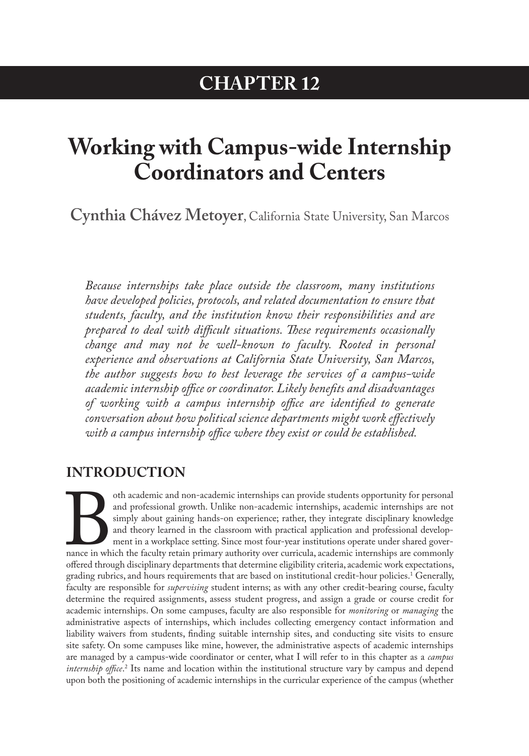## **CHAPTER 12**

# <span id="page-0-0"></span>**Working with Campus-wide Internship Coordinators and Centers**

**Cynthia Chávez Metoyer**, California State University, San Marcos

*Because internships take place outside the classroom, many institutions have developed policies, protocols, and related documentation to ensure that students, faculty, and the institution know their responsibilities and are prepared to deal with difficult situations. These requirements occasionally change and may not be well-known to faculty. Rooted in personal experience and observations at California State University, San Marcos, the author suggests how to best leverage the services of a campus-wide academic internship office or coordinator. Likely benefits and disadvantages of working with a campus internship office are identified to generate conversation about how political science departments might work effectively with a campus internship office where they exist or could be established.*

## **INTRODUCTION**

of the academic and non-academic internships can provide students opportunity for personal<br>
and professional growth. Unlike non-academic internships, academic internships are not<br>
simply about gaining hands-on experience; and professional growth. Unlike non-academic internships, academic internships are not simply about gaining hands-on experience; rather, they integrate disciplinary knowledge and theory learned in the classroom with practical application and professional development in a workplace setting. Since most four-year institutions operate under shared governance in which the faculty retain primary authority over curricula, academic internships are commonly grading rubrics, and hours requirements that are based on institutional credit-hour policies.[1](#page-10-0) Generally, faculty are responsible for *supervising* student interns; as with any other credit-bearing course, faculty determine the required assignments, assess student progress, and assign a grade or course credit for academic internships. On some campuses, faculty are also responsible for *monitoring* or *managing* the administrative aspects of internships, which includes collecting emergency contact information and liability waivers from students, finding suitable internship sites, and conducting site visits to ensure site safety. On some campuses like mine, however, the administrative aspects of academic internships are managed by a campus-wide coordinator or center, what I will refer to in this chapter as a *campus internship office.*<sup>[2](#page-10-0)</sup> Its name and location within the institutional structure vary by campus and depend upon both the positioning of academic internships in the curricular experience of the campus (whether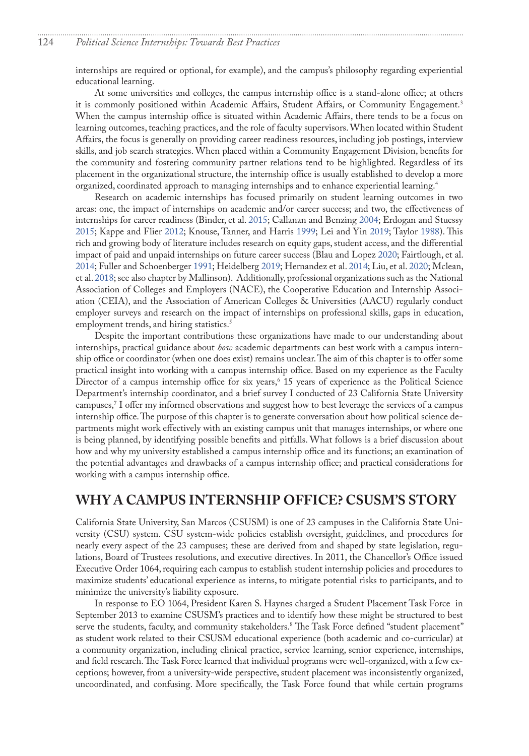<span id="page-1-0"></span>internships are required or optional, for example), and the campus's philosophy regarding experiential educational learning.

At some universities and colleges, the campus internship office is a stand-alone office; at others it is commonly positioned within Academic Affairs, Student Affairs, or Community Engagement.<sup>3</sup> When the campus internship office is situated within Academic Affairs, there tends to be a focus on learning outcomes, teaching practices, and the role of faculty supervisors. When located within Student Affairs, the focus is generally on providing career readiness resources, including job postings, interview skills, and job search strategies. When placed within a Community Engagement Division, benefits for the community and fostering community partner relations tend to be highlighted. Regardless of its placement in the organizational structure, the internship office is usually established to develop a more organized, coordinated approach to managing internships and to enhance experiential learning.[4](#page-10-0)

Research on academic internships has focused primarily on student learning outcomes in two areas: one, the impact of internships on academic and/or career success; and two, the effectiveness of internships for career readiness (Binder, et al. 2015; Callanan and Benzing 2004; Erdogan and Stuessy 2015; Kappe and Flier 2012; Knouse, Tanner, and Harris 1999; Lei and Yin 2019; Taylor 1988). This rich and growing body of literature includes research on equity gaps, student access, and the differential impact of paid and unpaid internships on future career success (Blau and Lopez 2020; Fairtlough, et al. 2014; Fuller and Schoenberger 1991; Heidelberg 2019; Hernandez et al. 2014; Liu, et al. 2020; Mclean, et al. 2018; see also chapter by Mallinson). Additionally, professional organizations such as the National Association of Colleges and Employers (NACE), the Cooperative Education and Internship Association (CEIA), and the Association of American Colleges & Universities (AACU) regularly conduct employer surveys and research on the impact of internships on professional skills, gaps in education, employment trends, and hiring statistics.<sup>5</sup>

Despite the important contributions these organizations have made to our understanding about internships, practical guidance about *how* academic departments can best work with a campus internship office or coordinator (when one does exist) remains unclear. The aim of this chapter is to offer some practical insight into working with a campus internship office. Based on my experience as the Faculty Director of a campus internship office for six years[,6](#page-10-0) 15 years of experience as the Political Science Department's internship coordinator, and a brief survey I conducted of 23 California State University campuses,[7](#page-10-0) I offer my informed observations and suggest how to best leverage the services of a campus internship office. The purpose of this chapter is to generate conversation about how political science departments might work effectively with an existing campus unit that manages internships, or where one is being planned, by identifying possible benefits and pitfalls. What follows is a brief discussion about how and why my university established a campus internship office and its functions; an examination of the potential advantages and drawbacks of a campus internship office; and practical considerations for working with a campus internship office.

## **WHY A CAMPUS INTERNSHIP OFFICE? CSUSM'S STORY**

California State University, San Marcos (CSUSM) is one of 23 campuses in the California State University (CSU) system. CSU system-wide policies establish oversight, guidelines, and procedures for nearly every aspect of the 23 campuses; these are derived from and shaped by state legislation, regulations, Board of Trustees resolutions, and executive directives. In 2011, the Chancellor's Office issued Executive Order 1064, requiring each campus to establish student internship policies and procedures to maximize students' educational experience as interns, to mitigate potential risks to participants, and to minimize the university's liability exposure.

In response to EO 1064, President Karen S. Haynes charged a Student Placement Task Force in September 2013 to examine CSUSM's practices and to identify how these might be structured to best serve the students, faculty, and community stakeholders[.8](#page-10-0) The Task Force defined "student placement" as student work related to their CSUSM educational experience (both academic and co-curricular) at a community organization, including clinical practice, service learning, senior experience, internships, and field research. The Task Force learned that individual programs were well-organized, with a few exceptions; however, from a university-wide perspective, student placement was inconsistently organized, uncoordinated, and confusing. More specifically, the Task Force found that while certain programs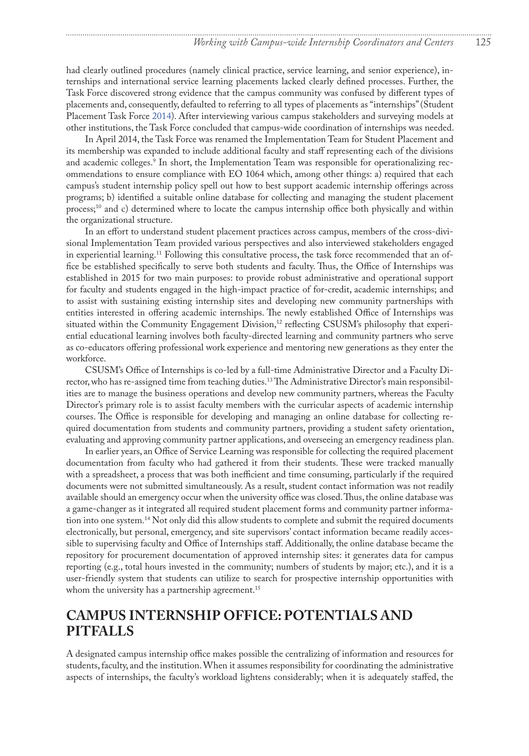<span id="page-2-0"></span>had clearly outlined procedures (namely clinical practice, service learning, and senior experience), internships and international service learning placements lacked clearly defined processes. Further, the Task Force discovered strong evidence that the campus community was confused by different types of placements and, consequently, defaulted to referring to all types of placements as "internships" (Student Placement Task Force 2014). After interviewing various campus stakeholders and surveying models at other institutions, the Task Force concluded that campus-wide coordination of internships was needed.

In April 2014, the Task Force was renamed the Implementation Team for Student Placement and its membership was expanded to include additional faculty and staff representing each of the divisions and academic colleges.[9](#page-10-0) In short, the Implementation Team was responsible for operationalizing recommendations to ensure compliance with EO 1064 which, among other things: a) required that each campus's student internship policy spell out how to best support academic internship offerings across programs; b) identified a suitable online database for collecting and managing the student placement process[;10](#page-10-0) and c) determined where to locate the campus internship office both physically and within the organizational structure.

In an effort to understand student placement practices across campus, members of the cross-divisional Implementation Team provided various perspectives and also interviewed stakeholders engaged in experiential learning.<sup>[11](#page-10-0)</sup> Following this consultative process, the task force recommended that an office be established specifically to serve both students and faculty. Thus, the Office of Internships was established in 2015 for two main purposes: to provide robust administrative and operational support for faculty and students engaged in the high-impact practice of for-credit, academic internships; and to assist with sustaining existing internship sites and developing new community partnerships with entities interested in offering academic internships. The newly established Office of Internships was situated within the Community Engagement Division,<sup>12</sup> reflecting CSUSM's philosophy that experiential educational learning involves both faculty-directed learning and community partners who serve as co-educators offering professional work experience and mentoring new generations as they enter the workforce.

CSUSM's Office of Internships is co-led by a full-time Administrative Director and a Faculty Director, who has re-assigned time from teaching duties[.13](#page-11-0) The Administrative Director's main responsibilities are to manage the business operations and develop new community partners, whereas the Faculty Director's primary role is to assist faculty members with the curricular aspects of academic internship courses. The Office is responsible for developing and managing an online database for collecting required documentation from students and community partners, providing a student safety orientation, evaluating and approving community partner applications, and overseeing an emergency readiness plan.

In earlier years, an Office of Service Learning was responsible for collecting the required placement documentation from faculty who had gathered it from their students. These were tracked manually with a spreadsheet, a process that was both inefficient and time consuming, particularly if the required documents were not submitted simultaneously. As a result, student contact information was not readily available should an emergency occur when the university office was closed. Thus, the online database was a game-changer as it integrated all required student placement forms and community partner information into one system.[14](#page-11-0) Not only did this allow students to complete and submit the required documents electronically, but personal, emergency, and site supervisors' contact information became readily accessible to supervising faculty and Office of Internships staff. Additionally, the online database became the repository for procurement documentation of approved internship sites: it generates data for campus reporting (e.g., total hours invested in the community; numbers of students by major; etc.), and it is a user-friendly system that students can utilize to search for prospective internship opportunities with whom the university has a partnership agreement.<sup>[15](#page-11-0)</sup>

## **CAMPUS INTERNSHIP OFFICE: POTENTIALS AND PITFALLS**

A designated campus internship office makes possible the centralizing of information and resources for students, faculty, and the institution. When it assumes responsibility for coordinating the administrative aspects of internships, the faculty's workload lightens considerably; when it is adequately staffed, the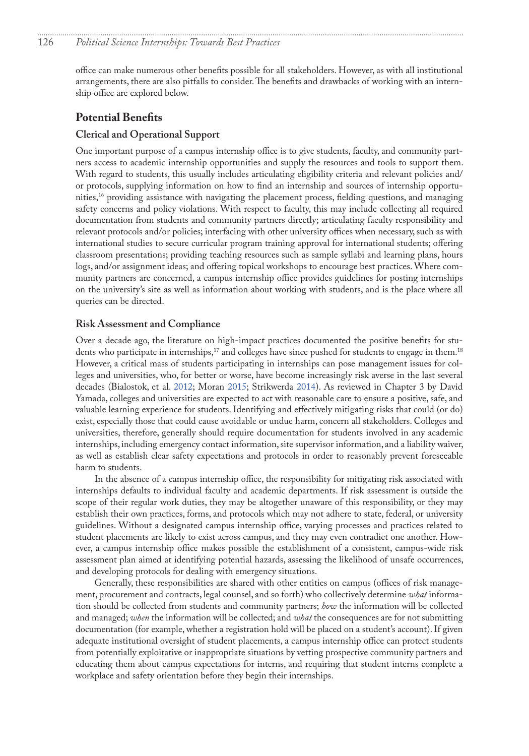<span id="page-3-0"></span>office can make numerous other benefits possible for all stakeholders. However, as with all institutional arrangements, there are also pitfalls to consider. The benefits and drawbacks of working with an internship office are explored below.

## **Potential Benefits**

#### **Clerical and Operational Support**

One important purpose of a campus internship office is to give students, faculty, and community partners access to academic internship opportunities and supply the resources and tools to support them. With regard to students, this usually includes articulating eligibility criteria and relevant policies and/ or protocols, supplying information on how to find an internship and sources of internship opportu-nities,<sup>[16](#page-11-0)</sup> providing assistance with navigating the placement process, fielding questions, and managing safety concerns and policy violations. With respect to faculty, this may include collecting all required documentation from students and community partners directly; articulating faculty responsibility and relevant protocols and/or policies; interfacing with other university offices when necessary, such as with international studies to secure curricular program training approval for international students; offering classroom presentations; providing teaching resources such as sample syllabi and learning plans, hours logs, and/or assignment ideas; and offering topical workshops to encourage best practices. Where community partners are concerned, a campus internship office provides guidelines for posting internships on the university's site as well as information about working with students, and is the place where all queries can be directed.

#### **Risk Assessment and Compliance**

Over a decade ago, the literature on high-impact practices documented the positive benefits for stu-dents who participate in internships,<sup>17</sup> and colleges have since pushed for students to engage in them.<sup>[18](#page-11-0)</sup> However, a critical mass of students participating in internships can pose management issues for colleges and universities, who, for better or worse, have become increasingly risk averse in the last several decades (Bialostok, et al. [2012;](#page-8-0) Moran 2015; Strikwerda 2014). As reviewed in Chapter 3 by David Yamada, colleges and universities are expected to act with reasonable care to ensure a positive, safe, and valuable learning experience for students. Identifying and effectively mitigating risks that could (or do) exist, especially those that could cause avoidable or undue harm, concern all stakeholders. Colleges and universities, therefore, generally should require documentation for students involved in any academic internships, including emergency contact information, site supervisor information, and a liability waiver, as well as establish clear safety expectations and protocols in order to reasonably prevent foreseeable harm to students.

In the absence of a campus internship office, the responsibility for mitigating risk associated with internships defaults to individual faculty and academic departments. If risk assessment is outside the scope of their regular work duties, they may be altogether unaware of this responsibility, or they may establish their own practices, forms, and protocols which may not adhere to state, federal, or university guidelines. Without a designated campus internship office, varying processes and practices related to student placements are likely to exist across campus, and they may even contradict one another. However, a campus internship office makes possible the establishment of a consistent, campus-wide risk assessment plan aimed at identifying potential hazards, assessing the likelihood of unsafe occurrences, and developing protocols for dealing with emergency situations.

Generally, these responsibilities are shared with other entities on campus (offices of risk management, procurement and contracts, legal counsel, and so forth) who collectively determine *what* information should be collected from students and community partners; *how* the information will be collected and managed; *when* the information will be collected; and *what* the consequences are for not submitting documentation (for example, whether a registration hold will be placed on a student's account). If given adequate institutional oversight of student placements, a campus internship office can protect students from potentially exploitative or inappropriate situations by vetting prospective community partners and educating them about campus expectations for interns, and requiring that student interns complete a workplace and safety orientation before they begin their internships.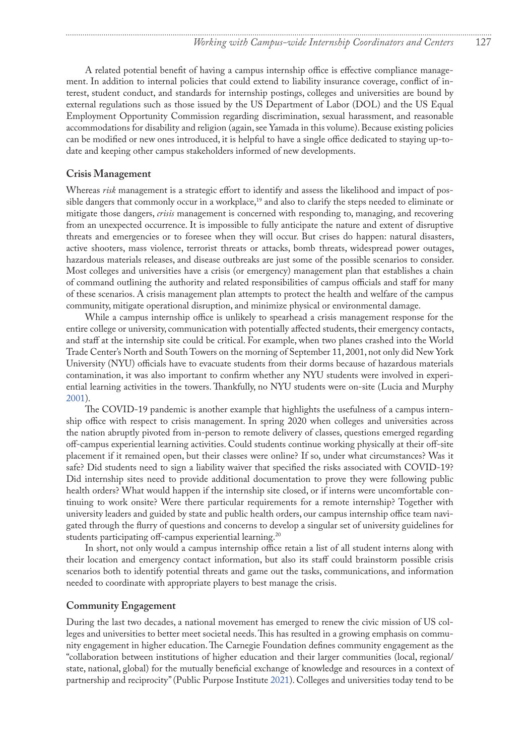<span id="page-4-0"></span>A related potential benefit of having a campus internship office is effective compliance management. In addition to internal policies that could extend to liability insurance coverage, conflict of interest, student conduct, and standards for internship postings, colleges and universities are bound by external regulations such as those issued by the US Department of Labor (DOL) and the US Equal Employment Opportunity Commission regarding discrimination, sexual harassment, and reasonable accommodations for disability and religion (again, see Yamada in this volume). Because existing policies can be modified or new ones introduced, it is helpful to have a single office dedicated to staying up-todate and keeping other campus stakeholders informed of new developments.

#### **Crisis Management**

Whereas *risk* management is a strategic effort to identify and assess the likelihood and impact of possible dangers that commonly occur in a workplace,<sup>19</sup> and also to clarify the steps needed to eliminate or mitigate those dangers, *crisis* management is concerned with responding to, managing, and recovering from an unexpected occurrence. It is impossible to fully anticipate the nature and extent of disruptive threats and emergencies or to foresee when they will occur. But crises do happen: natural disasters, active shooters, mass violence, terrorist threats or attacks, bomb threats, widespread power outages, hazardous materials releases, and disease outbreaks are just some of the possible scenarios to consider. Most colleges and universities have a crisis (or emergency) management plan that establishes a chain of command outlining the authority and related responsibilities of campus officials and staff for many of these scenarios. A crisis management plan attempts to protect the health and welfare of the campus community, mitigate operational disruption, and minimize physical or environmental damage.

While a campus internship office is unlikely to spearhead a crisis management response for the entire college or university, communication with potentially affected students, their emergency contacts, and staff at the internship site could be critical. For example, when two planes crashed into the World Trade Center's North and South Towers on the morning of September 11, 2001, not only did New York University (NYU) officials have to evacuate students from their dorms because of hazardous materials contamination, it was also important to confirm whether any NYU students were involved in experiential learning activities in the towers. Thankfully, no NYU students were on-site (Lucia and Murphy 2001).

The COVID-19 pandemic is another example that highlights the usefulness of a campus internship office with respect to crisis management. In spring 2020 when colleges and universities across the nation abruptly pivoted from in-person to remote delivery of classes, questions emerged regarding off-campus experiential learning activities. Could students continue working physically at their off-site placement if it remained open, but their classes were online? If so, under what circumstances? Was it safe? Did students need to sign a liability waiver that specified the risks associated with COVID-19? Did internship sites need to provide additional documentation to prove they were following public health orders? What would happen if the internship site closed, or if interns were uncomfortable continuing to work onsite? Were there particular requirements for a remote internship? Together with university leaders and guided by state and public health orders, our campus internship office team navigated through the flurry of questions and concerns to develop a singular set of university guidelines for students participating off-campus experiential learning.<sup>20</sup>

In short, not only would a campus internship office retain a list of all student interns along with their location and emergency contact information, but also its staff could brainstorm possible crisis scenarios both to identify potential threats and game out the tasks, communications, and information needed to coordinate with appropriate players to best manage the crisis.

#### **Community Engagement**

During the last two decades, a national movement has emerged to renew the civic mission of US colleges and universities to better meet societal needs. This has resulted in a growing emphasis on community engagement in higher education. The Carnegie Foundation defines community engagement as the "collaboration between institutions of higher education and their larger communities (local, regional/ state, national, global) for the mutually beneficial exchange of knowledge and resources in a context of partnership and reciprocity" (Public Purpose Institute 2021). Colleges and universities today tend to be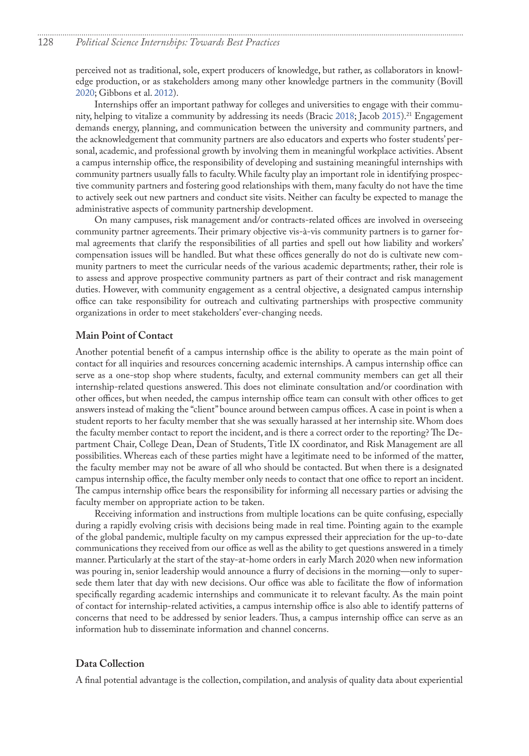<span id="page-5-0"></span>perceived not as traditional, sole, expert producers of knowledge, but rather, as collaborators in knowledge production, or as stakeholders among many other knowledge partners in the community (Bovill 2020; Gibbons et al. [2012\)](#page-9-0).

Internships offer an important pathway for colleges and universities to engage with their commu-nity, helping to vitalize a community by addressing its needs (Bracic 2018; Jacob [2015\)](#page-9-1).<sup>21</sup> Engagement demands energy, planning, and communication between the university and community partners, and the acknowledgement that community partners are also educators and experts who foster students' personal, academic, and professional growth by involving them in meaningful workplace activities. Absent a campus internship office, the responsibility of developing and sustaining meaningful internships with community partners usually falls to faculty. While faculty play an important role in identifying prospective community partners and fostering good relationships with them, many faculty do not have the time to actively seek out new partners and conduct site visits. Neither can faculty be expected to manage the administrative aspects of community partnership development.

On many campuses, risk management and/or contracts-related offices are involved in overseeing community partner agreements. Their primary objective vis-à-vis community partners is to garner formal agreements that clarify the responsibilities of all parties and spell out how liability and workers' compensation issues will be handled. But what these offices generally do not do is cultivate new community partners to meet the curricular needs of the various academic departments; rather, their role is to assess and approve prospective community partners as part of their contract and risk management duties. However, with community engagement as a central objective, a designated campus internship office can take responsibility for outreach and cultivating partnerships with prospective community organizations in order to meet stakeholders' ever-changing needs.

#### **Main Point of Contact**

Another potential benefit of a campus internship office is the ability to operate as the main point of contact for all inquiries and resources concerning academic internships. A campus internship office can serve as a one-stop shop where students, faculty, and external community members can get all their internship-related questions answered. This does not eliminate consultation and/or coordination with other offices, but when needed, the campus internship office team can consult with other offices to get answers instead of making the "client" bounce around between campus offices. A case in point is when a student reports to her faculty member that she was sexually harassed at her internship site. Whom does the faculty member contact to report the incident, and is there a correct order to the reporting? The Department Chair, College Dean, Dean of Students, Title IX coordinator, and Risk Management are all possibilities. Whereas each of these parties might have a legitimate need to be informed of the matter, the faculty member may not be aware of all who should be contacted. But when there is a designated campus internship office, the faculty member only needs to contact that one office to report an incident. The campus internship office bears the responsibility for informing all necessary parties or advising the faculty member on appropriate action to be taken.

Receiving information and instructions from multiple locations can be quite confusing, especially during a rapidly evolving crisis with decisions being made in real time. Pointing again to the example of the global pandemic, multiple faculty on my campus expressed their appreciation for the up-to-date communications they received from our office as well as the ability to get questions answered in a timely manner. Particularly at the start of the stay-at-home orders in early March 2020 when new information was pouring in, senior leadership would announce a flurry of decisions in the morning—only to supersede them later that day with new decisions. Our office was able to facilitate the flow of information specifically regarding academic internships and communicate it to relevant faculty. As the main point of contact for internship-related activities, a campus internship office is also able to identify patterns of concerns that need to be addressed by senior leaders. Thus, a campus internship office can serve as an information hub to disseminate information and channel concerns.

#### **Data Collection**

A final potential advantage is the collection, compilation, and analysis of quality data about experiential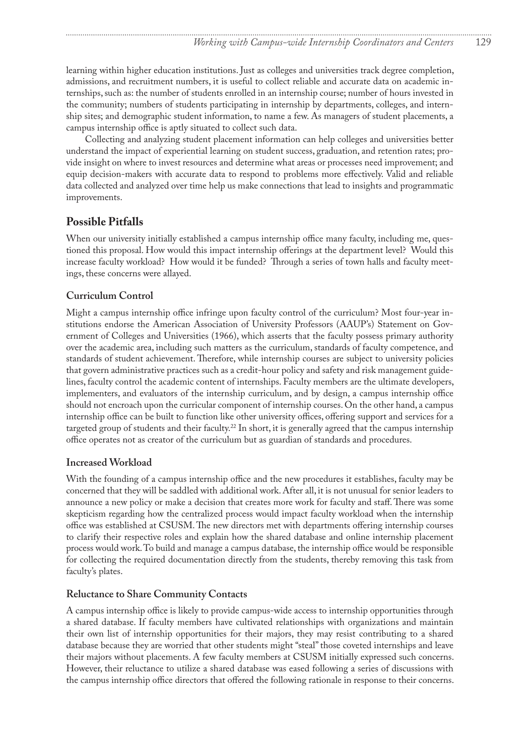<span id="page-6-0"></span>learning within higher education institutions. Just as colleges and universities track degree completion, admissions, and recruitment numbers, it is useful to collect reliable and accurate data on academic internships, such as: the number of students enrolled in an internship course; number of hours invested in the community; numbers of students participating in internship by departments, colleges, and internship sites; and demographic student information, to name a few. As managers of student placements, a campus internship office is aptly situated to collect such data.

Collecting and analyzing student placement information can help colleges and universities better understand the impact of experiential learning on student success, graduation, and retention rates; provide insight on where to invest resources and determine what areas or processes need improvement; and equip decision-makers with accurate data to respond to problems more effectively. Valid and reliable data collected and analyzed over time help us make connections that lead to insights and programmatic improvements.

### **Possible Pitfalls**

When our university initially established a campus internship office many faculty, including me, questioned this proposal. How would this impact internship offerings at the department level? Would this increase faculty workload? How would it be funded? Through a series of town halls and faculty meetings, these concerns were allayed.

#### **Curriculum Control**

Might a campus internship office infringe upon faculty control of the curriculum? Most four-year institutions endorse the American Association of University Professors (AAUP's) Statement on Government of Colleges and Universities (1966), which asserts that the faculty possess primary authority over the academic area, including such matters as the curriculum, standards of faculty competence, and standards of student achievement. Therefore, while internship courses are subject to university policies that govern administrative practices such as a credit-hour policy and safety and risk management guidelines, faculty control the academic content of internships. Faculty members are the ultimate developers, implementers, and evaluators of the internship curriculum, and by design, a campus internship office should not encroach upon the curricular component of internship courses. On the other hand, a campus internship office can be built to function like other university offices, offering support and services for a targeted group of students and their faculty.<sup>22</sup> In short, it is generally agreed that the campus internship office operates not as creator of the curriculum but as guardian of standards and procedures.

#### **Increased Workload**

With the founding of a campus internship office and the new procedures it establishes, faculty may be concerned that they will be saddled with additional work. After all, it is not unusual for senior leaders to announce a new policy or make a decision that creates more work for faculty and staff. There was some skepticism regarding how the centralized process would impact faculty workload when the internship office was established at CSUSM. The new directors met with departments offering internship courses to clarify their respective roles and explain how the shared database and online internship placement process would work. To build and manage a campus database, the internship office would be responsible for collecting the required documentation directly from the students, thereby removing this task from faculty's plates.

#### **Reluctance to Share Community Contacts**

A campus internship office is likely to provide campus-wide access to internship opportunities through a shared database. If faculty members have cultivated relationships with organizations and maintain their own list of internship opportunities for their majors, they may resist contributing to a shared database because they are worried that other students might "steal" those coveted internships and leave their majors without placements. A few faculty members at CSUSM initially expressed such concerns. However, their reluctance to utilize a shared database was eased following a series of discussions with the campus internship office directors that offered the following rationale in response to their concerns.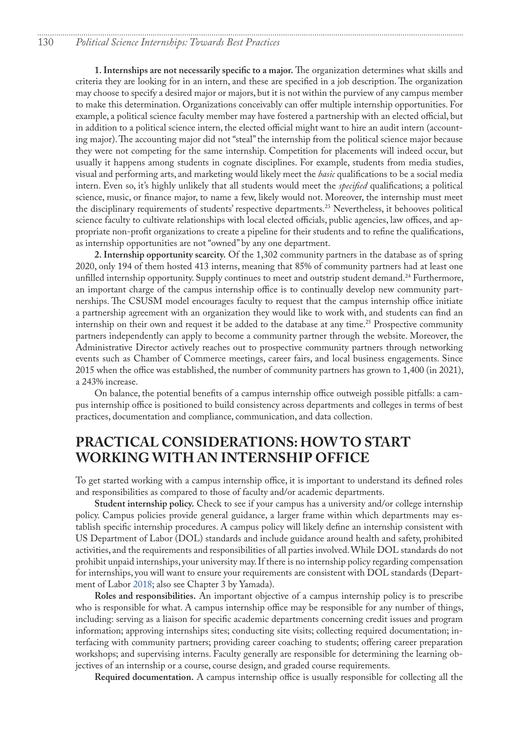<span id="page-7-0"></span>**1. Internships are not necessarily specific to a major.** The organization determines what skills and criteria they are looking for in an intern, and these are specified in a job description. The organization may choose to specify a desired major or majors, but it is not within the purview of any campus member to make this determination. Organizations conceivably can offer multiple internship opportunities. For example, a political science faculty member may have fostered a partnership with an elected official, but in addition to a political science intern, the elected official might want to hire an audit intern (accounting major). The accounting major did not "steal" the internship from the political science major because they were not competing for the same internship. Competition for placements will indeed occur, but usually it happens among students in cognate disciplines. For example, students from media studies, visual and performing arts, and marketing would likely meet the *basic* qualifications to be a social media intern. Even so, it's highly unlikely that all students would meet the *specified* qualifications; a political science, music, or finance major, to name a few, likely would not. Moreover, the internship must meet the disciplinary requirements of students' respective departments.[23](#page-11-0) Nevertheless, it behooves political science faculty to cultivate relationships with local elected officials, public agencies, law offices, and appropriate non-profit organizations to create a pipeline for their students and to refine the qualifications, as internship opportunities are not "owned" by any one department.

**2. Internship opportunity scarcity.** Of the 1,302 community partners in the database as of spring 2020, only 194 of them hosted 413 interns, meaning that 85% of community partners had at least one unfilled internship opportunity. Supply continues to meet and outstrip student demand.<sup>24</sup> Furthermore, an important charge of the campus internship office is to continually develop new community partnerships. The CSUSM model encourages faculty to request that the campus internship office initiate a partnership agreement with an organization they would like to work with, and students can find an internship on their own and request it be added to the database at any time.<sup>25</sup> Prospective community partners independently can apply to become a community partner through the website. Moreover, the Administrative Director actively reaches out to prospective community partners through networking events such as Chamber of Commerce meetings, career fairs, and local business engagements. Since 2015 when the office was established, the number of community partners has grown to 1,400 (in 2021), a 243% increase.

On balance, the potential benefits of a campus internship office outweigh possible pitfalls: a campus internship office is positioned to build consistency across departments and colleges in terms of best practices, documentation and compliance, communication, and data collection.

## **PRACTICAL CONSIDERATIONS: HOW TO START WORKING WITH AN INTERNSHIP OFFICE**

To get started working with a campus internship office, it is important to understand its defined roles and responsibilities as compared to those of faculty and/or academic departments.

**Student internship policy.** Check to see if your campus has a university and/or college internship policy. Campus policies provide general guidance, a larger frame within which departments may establish specific internship procedures. A campus policy will likely define an internship consistent with US Department of Labor (DOL) standards and include guidance around health and safety, prohibited activities, and the requirements and responsibilities of all parties involved. While DOL standards do not prohibit unpaid internships, your university may. If there is no internship policy regarding compensation for internships, you will want to ensure your requirements are consistent with DOL standards (Department of Labor [2018;](#page-9-2) also see Chapter 3 by Yamada).

**Roles and responsibilities.** An important objective of a campus internship policy is to prescribe who is responsible for what. A campus internship office may be responsible for any number of things, including: serving as a liaison for specific academic departments concerning credit issues and program information; approving internships sites; conducting site visits; collecting required documentation; interfacing with community partners; providing career coaching to students; offering career preparation workshops; and supervising interns. Faculty generally are responsible for determining the learning objectives of an internship or a course, course design, and graded course requirements.

**Required documentation.** A campus internship office is usually responsible for collecting all the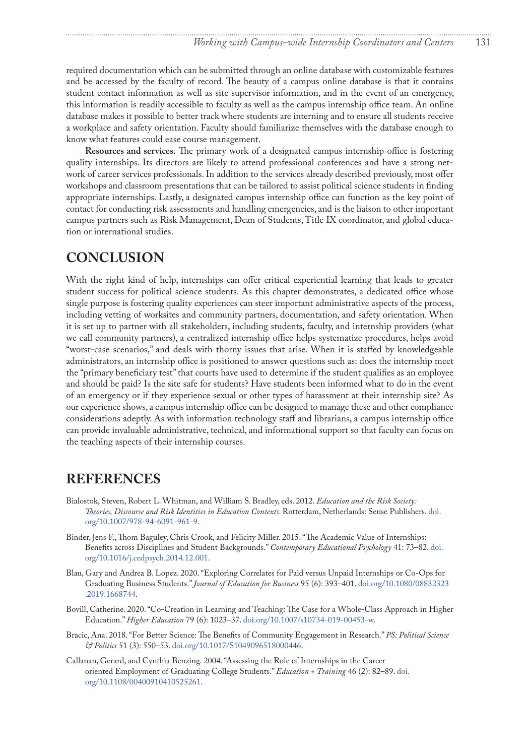required documentation which can be submitted through an online database with customizable features and be accessed by the faculty of record. The beauty of a campus online database is that it contains student contact information as well as site supervisor information, and in the event of an emergency, this information is readily accessible to faculty as well as the campus internship office team. An online database makes it possible to better track where students are interning and to ensure all students receive a workplace and safety orientation. Faculty should familiarize themselves with the database enough to know what features could ease course management.

**Resources and services.** The primary work of a designated campus internship office is fostering quality internships. Its directors are likely to attend professional conferences and have a strong network of career services professionals. In addition to the services already described previously, most offer workshops and classroom presentations that can be tailored to assist political science students in finding appropriate internships. Lastly, a designated campus internship office can function as the key point of contact for conducting risk assessments and handling emergencies, and is the liaison to other important campus partners such as Risk Management, Dean of Students, Title IX coordinator, and global education or international studies.

## **CONCLUSION**

With the right kind of help, internships can offer critical experiential learning that leads to greater student success for political science students. As this chapter demonstrates, a dedicated office whose single purpose is fostering quality experiences can steer important administrative aspects of the process, including vetting of worksites and community partners, documentation, and safety orientation. When it is set up to partner with all stakeholders, including students, faculty, and internship providers (what we call community partners), a centralized internship office helps systematize procedures, helps avoid "worst-case scenarios," and deals with thorny issues that arise. When it is staffed by knowledgeable administrators, an internship office is positioned to answer questions such as: does the internship meet the "primary beneficiary test" that courts have used to determine if the student qualifies as an employee and should be paid? Is the site safe for students? Have students been informed what to do in the event of an emergency or if they experience sexual or other types of harassment at their internship site? As our experience shows, a campus internship office can be designed to manage these and other compliance considerations adeptly. As with information technology staff and librarians, a campus internship office can provide invaluable administrative, technical, and informational support so that faculty can focus on the teaching aspects of their internship courses.

## **REFERENCES**

- <span id="page-8-0"></span>Bialostok, Steven, Robert L. Whitman, and William S. Bradley, eds. 2012. *Education and the Risk Society: Theories, Discourse and Risk Identities in Education Contexts*. Rotterdam, Netherlands: Sense Publishers. [doi.](http://doi.org/10.1007/978-94-6091-961-9) [org/10.1007/978-94-6091-961-9](http://doi.org/10.1007/978-94-6091-961-9).
- Binder, Jens F., Thom Baguley, Chris Crook, and Felicity Miller. 2015. "The Academic Value of Internships: Benefits across Disciplines and Student Backgrounds." *Contemporary Educational Psychology* 41: 73–82. [doi.](http://doi.org/10.1016/j.cedpsych.2014.12.001) [org/10.1016/j.cedpsych.2014.12.001](http://doi.org/10.1016/j.cedpsych.2014.12.001).
- Blau, Gary and Andrea B. Lopez. 2020. "Exploring Correlates for Paid versus Unpaid Internships or Co-Ops for Graduating Business Students." *Journal of Education for Business* 95 (6): 393–401. [doi.org/10.1080/08832323](http://doi.org/10.1080/08832323.2019.1668744 ) [.2019.1668744.](http://doi.org/10.1080/08832323.2019.1668744 )
- Bovill, Catherine. 2020. "Co-Creation in Learning and Teaching: The Case for a Whole-Class Approach in Higher Education." *Higher Education* 79 (6): 1023–37. [doi.org/10.1007/s10734-019-00453-w.](http://doi.org/10.1007/s10734-019-00453-w)
- Bracic, Ana. 2018. "For Better Science: The Benefits of Community Engagement in Research." *PS: Political Science & Politics* 51 (3): 550–53. [doi.org/10.1017/S1049096518000446.](http://doi.org/10.1017/S1049096518000446)
- Callanan, Gerard, and Cynthia Benzing. 2004. "Assessing the Role of Internships in the Career‐ oriented Employment of Graduating College Students." *Education + Training* 46 (2): 82–89. [doi.](http://doi.org/10.1108/00400910410525261) [org/10.1108/00400910410525261](http://doi.org/10.1108/00400910410525261).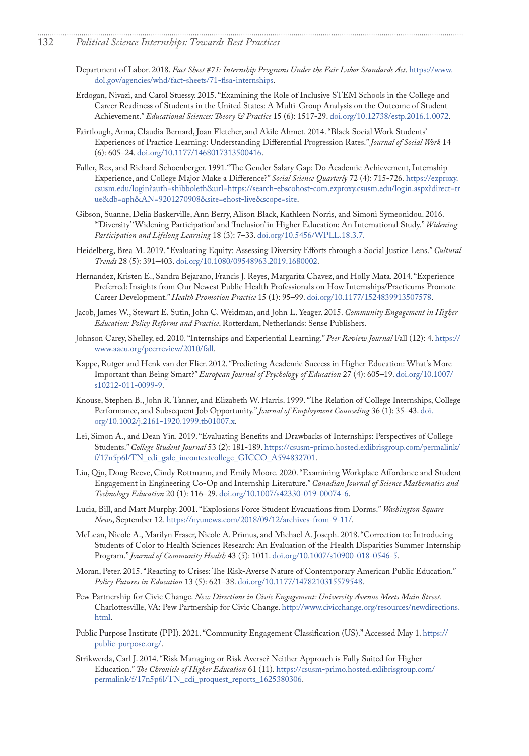- 132 *Political Science Internships: Towards Best Practices*
	- Department of Labor. 2018. *Fact Sheet #71: Internship Programs Under the Fair Labor Standards Act*. [https://www.](https://www.dol.gov/agencies/whd/fact-sheets/71-flsa-internships) [dol.gov/agencies/whd/fact-sheets/71-flsa-internships](https://www.dol.gov/agencies/whd/fact-sheets/71-flsa-internships).

- <span id="page-9-2"></span>Erdogan, Nivazi, and Carol Stuessy. 2015. "Examining the Role of Inclusive STEM Schools in the College and Career Readiness of Students in the United States: A Multi-Group Analysis on the Outcome of Student Achievement." *Educational Sciences: Theory & Practice* 15 (6): 1517-29. [doi.org/10.12738/estp.2016.1.0072.](http://doi.org/10.12738/estp.2016.1.0072)
- Fairtlough, Anna, Claudia Bernard, Joan Fletcher, and Akile Ahmet. 2014. "Black Social Work Students' Experiences of Practice Learning: Understanding Differential Progression Rates." *Journal of Social Work* 14 (6): 605–24. [doi.org/10.1177/1468017313500416](http://doi.org/10.1177/1468017313500416).
- Fuller, Rex, and Richard Schoenberger. 1991."The Gender Salary Gap: Do Academic Achievement, Internship Experience, and College Major Make a Difference?" *Social Science Quarterly* 72 (4): 715-726. [https://ezproxy.](https://ezproxy.csusm.edu/login?auth=shibboleth&url=https://search-ebscohost-com.ezproxy.csusm.edu/login.aspx?direct=true&db=aph&AN=9201270908&site=ehost-live&scope=site) [csusm.edu/login?auth=shibboleth&url=https://search-ebscohost-com.ezproxy.csusm.edu/login.aspx?direct=tr](https://ezproxy.csusm.edu/login?auth=shibboleth&url=https://search-ebscohost-com.ezproxy.csusm.edu/login.aspx?direct=true&db=aph&AN=9201270908&site=ehost-live&scope=site) [ue&db=aph&AN=9201270908&site=ehost-live&scope=site.](https://ezproxy.csusm.edu/login?auth=shibboleth&url=https://search-ebscohost-com.ezproxy.csusm.edu/login.aspx?direct=true&db=aph&AN=9201270908&site=ehost-live&scope=site)
- <span id="page-9-0"></span>Gibson, Suanne, Delia Baskerville, Ann Berry, Alison Black, Kathleen Norris, and Simoni Symeonidou. 2016. "'Diversity' 'Widening Participation' and 'Inclusion' in Higher Education: An International Study." *Widening Participation and Lifelong Learning* 18 (3): 7–33. [doi.org/10.5456/WPLL.18.3.7.](http://doi.org/10.5456/WPLL.18.3.7 )
- Heidelberg, Brea M. 2019. "Evaluating Equity: Assessing Diversity Efforts through a Social Justice Lens." *Cultural Trends* 28 (5): 391–403. [doi.org/10.1080/09548963.2019.1680002](http://doi.org/10.1080/09548963.2019.1680002).
- Hernandez, Kristen E., Sandra Bejarano, Francis J. Reyes, Margarita Chavez, and Holly Mata. 2014. "Experience Preferred: Insights from Our Newest Public Health Professionals on How Internships/Practicums Promote Career Development." *Health Promotion Practice* 15 (1): 95–99. [doi.org/10.1177/1524839913507578.](http://doi.org/10.1177/1524839913507578)
- <span id="page-9-1"></span>Jacob, James W., Stewart E. Sutin, John C. Weidman, and John L. Yeager. 2015. *Community Engagement in Higher Education: Policy Reforms and Practice*. Rotterdam, Netherlands: Sense Publishers.
- Johnson Carey, Shelley, ed. 2010. "Internships and Experiential Learning." *Peer Review Journal* Fall (12): 4. [https://](https://www.aacu.org/peerreview/2010/fall) [www.aacu.org/peerreview/2010/fall](https://www.aacu.org/peerreview/2010/fall).
- Kappe, Rutger and Henk van der Flier. 2012. "Predicting Academic Success in Higher Education: What's More Important than Being Smart?" *European Journal of Psychology of Education* 27 (4): 605–19. [doi.org/10.1007/](http://doi.org/10.1007/s10212-011-0099-9) [s10212-011-0099-9.](http://doi.org/10.1007/s10212-011-0099-9)
- Knouse, Stephen B., John R. Tanner, and Elizabeth W. Harris. 1999. "The Relation of College Internships, College Performance, and Subsequent Job Opportunity." *Journal of Employment Counseling* 36 (1): 35–43. [doi.](http://doi.org/10.1002/j.2161-1920.1999.tb01007.x) [org/10.1002/j.2161-1920.1999.tb01007.x.](http://doi.org/10.1002/j.2161-1920.1999.tb01007.x)
- Lei, Simon A., and Dean Yin. 2019. "Evaluating Benefits and Drawbacks of Internships: Perspectives of College Students." *College Student Journal* 53 (2): 181-189. [https://csusm-primo.hosted.exlibrisgroup.com/permalink/](https://csusm-primo.hosted.exlibrisgroup.com/permalink/f/17n5p6l/TN_cdi_gale_incontextcollege_GICCO_A594832701) [f/17n5p6l/TN\\_cdi\\_gale\\_incontextcollege\\_GICCO\\_A594832701](https://csusm-primo.hosted.exlibrisgroup.com/permalink/f/17n5p6l/TN_cdi_gale_incontextcollege_GICCO_A594832701).
- Liu, Qin, Doug Reeve, Cindy Rottmann, and Emily Moore. 2020. "Examining Workplace Affordance and Student Engagement in Engineering Co-Op and Internship Literature." *Canadian Journal of Science Mathematics and Technology Education* 20 (1): 116–29. [doi.org/10.1007/s42330-019-00074-6.](http://doi.org/10.1007/s42330-019-00074-6)
- Lucia, Bill, and Matt Murphy. 2001. "Explosions Force Student Evacuations from Dorms." *Washington Square News*, September 12. [https://nyunews.com/2018/09/12/archives-from-9-11/.](https://nyunews.com/2018/09/12/archives-from-9-11/)
- McLean, Nicole A., Marilyn Fraser, Nicole A. Primus, and Michael A. Joseph. 2018. "Correction to: Introducing Students of Color to Health Sciences Research: An Evaluation of the Health Disparities Summer Internship Program." *Journal of Community Health* 43 (5): 1011. [doi.org/10.1007/s10900-018-0546-5.](http://doi.org/10.1007/s10900-018-0546-5)
- Moran, Peter. 2015. "Reacting to Crises: The Risk-Averse Nature of Contemporary American Public Education." *Policy Futures in Education* 13 (5): 621–38. [doi.org/10.1177/1478210315579548](http://doi.org/10.1177/1478210315579548).
- Pew Partnership for Civic Change. *New Directions in Civic Engagement: University Avenue Meets Main Street*. Charlottesville, VA: Pew Partnership for Civic Change. [http://www.civicchange.org/resources/newdirections.](http://www.civicchange.org/resources/newdirections.html) [html](http://www.civicchange.org/resources/newdirections.html).
- Public Purpose Institute (PPI). 2021. "Community Engagement Classification (US)." Accessed May 1. [https://](https://public-purpose.org/) [public-purpose.org/.](https://public-purpose.org/)
- Strikwerda, Carl J. 2014. "Risk Managing or Risk Averse? Neither Approach is Fully Suited for Higher Education." *The Chronicle of Higher Education* 61 (11). [https://csusm-primo.hosted.exlibrisgroup.com/](https://csusm-primo.hosted.exlibrisgroup.com/permalink/f/17n5p6l/TN_cdi_proquest_reports_1625380306) [permalink/f/17n5p6l/TN\\_cdi\\_proquest\\_reports\\_1625380306.](https://csusm-primo.hosted.exlibrisgroup.com/permalink/f/17n5p6l/TN_cdi_proquest_reports_1625380306)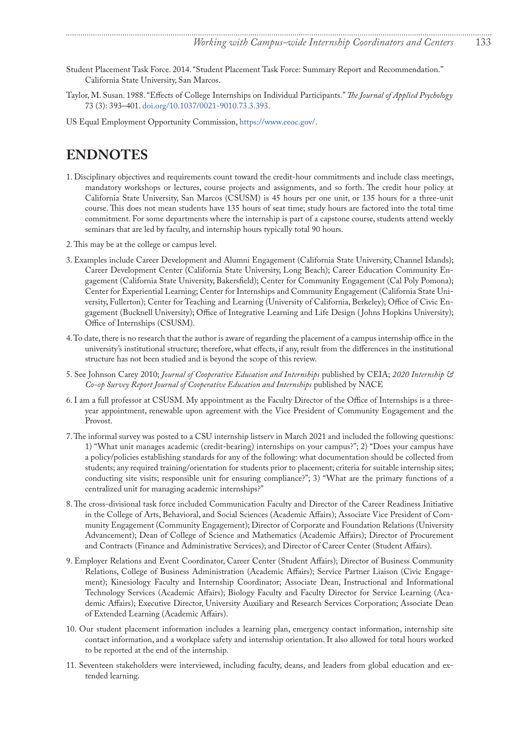- <span id="page-10-0"></span>Student Placement Task Force. 2014. "Student Placement Task Force: Summary Report and Recommendation." California State University, San Marcos.
- Taylor, M. Susan. 1988. "Effects of College Internships on Individual Participants." *The Journal of Applied Psychology* 73 (3): 393–401. [doi.org/10.1037/0021-9010.73.3.393.](http://doi.org/10.1037/0021-9010.73.3.393)
- US Equal Employment Opportunity Commission,<https://www.eeoc.gov/>.

## **ENDNOTES**

- [1](#page-0-0). Disciplinary objectives and requirements count toward the credit-hour commitments and include class meetings, mandatory workshops or lectures, course projects and assignments, and so forth. The credit hour policy at California State University, San Marcos (CSUSM) is 45 hours per one unit, or 135 hours for a three-unit course. This does not mean students have 135 hours of seat time; study hours are factored into the total time commitment. For some departments where the internship is part of a capstone course, students attend weekly seminars that are led by faculty, and internship hours typically total 90 hours.
- [2](#page-0-0). This may be at the college or campus level.
- [3](#page-1-0). Examples include Career Development and Alumni Engagement (California State University, Channel Islands); Career Development Center (California State University, Long Beach); Career Education Community Engagement (California State University, Bakersfield); Center for Community Engagement (Cal Poly Pomona); Center for Experiential Learning; Center for Internships and Community Engagement (California State University, Fullerton); Center for Teaching and Learning (University of California, Berkeley); Office of Civic Engagement (Bucknell University); Office of Integrative Learning and Life Design ( Johns Hopkins University); Office of Internships (CSUSM).
- [4](#page-1-0). To date, there is no research that the author is aware of regarding the placement of a campus internship office in the university's institutional structure; therefore, what effects, if any, result from the differences in the institutional structure has not been studied and is beyond the scope of this review.
- [5](#page-1-0). See Johnson Carey 2010; *Journal of Cooperative Education and Internships* published by CEIA; *2020 Internship & Co-op Survey Report Journal of Cooperative Education and Internships* published by NACE
- [6](#page-1-0). I am a full professor at CSUSM. My appointment as the Faculty Director of the Office of Internships is a threeyear appointment, renewable upon agreement with the Vice President of Community Engagement and the Provost.
- [7](#page-1-0). The informal survey was posted to a CSU internship listserv in March 2021 and included the following questions: 1) "What unit manages academic (credit-bearing) internships on your campus?"; 2) "Does your campus have a policy/policies establishing standards for any of the following: what documentation should be collected from students; any required training/orientation for students prior to placement; criteria for suitable internship sites; conducting site visits; responsible unit for ensuring compliance?"; 3) "What are the primary functions of a centralized unit for managing academic internships?"
- [8](#page-1-0). The cross-divisional task force included Communication Faculty and Director of the Career Readiness Initiative in the College of Arts, Behavioral, and Social Sciences (Academic Affairs); Associate Vice President of Community Engagement (Community Engagement); Director of Corporate and Foundation Relations (University Advancement); Dean of College of Science and Mathematics (Academic Affairs); Director of Procurement and Contracts (Finance and Administrative Services); and Director of Career Center (Student Affairs).
- [9](#page-2-0). Employer Relations and Event Coordinator, Career Center (Student Affairs); Director of Business Community Relations, College of Business Administration (Academic Affairs); Service Partner Liaison (Civic Engagement); Kinesiology Faculty and Internship Coordinator; Associate Dean, Instructional and Informational Technology Services (Academic Affairs); Biology Faculty and Faculty Director for Service Learning (Academic Affairs); Executive Director, University Auxiliary and Research Services Corporation; Associate Dean of Extended Learning (Academic Affairs).
- [10](#page-2-0). Our student placement information includes a learning plan, emergency contact information, internship site contact information, and a workplace safety and internship orientation. It also allowed for total hours worked to be reported at the end of the internship.
- [11](#page-2-0). Seventeen stakeholders were interviewed, including faculty, deans, and leaders from global education and extended learning.